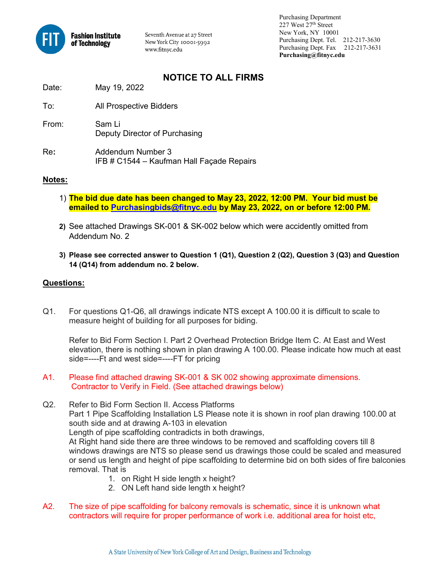

Seventh Avenue at 27 Street New York City 10001-5992 www.fitnyc.edu

 Purchasing Department 227 West 27th Street New York, NY 10001 Purchasing Dept. Tel. 212-217-3630 Purchasing Dept. Fax 212-217-3631 **Purchasing@fitnyc.edu**

## **NOTICE TO ALL FIRMS**

Date: May 19, 2022

- To: All Prospective Bidders
- From: Sam Li Deputy Director of Purchasing
- Re**:** Addendum Number 3 IFB # C1544 – Kaufman Hall Façade Repairs

## **Notes:**

- 1) **The bid due date has been changed to May 23, 2022, 12:00 PM. Your bid must be emailed to [Purchasingbids@fitnyc.edu](mailto:Purchasingbids@fitnyc.edu) by May 23, 2022, on or before 12:00 PM.**
- **2)** See attached Drawings SK-001 & SK-002 below which were accidently omitted from Addendum No. 2
- **3) Please see corrected answer to Question 1 (Q1), Question 2 (Q2), Question 3 (Q3) and Question 14 (Q14) from addendum no. 2 below.**

## **Questions:**

Q1. For questions Q1-Q6, all drawings indicate NTS except A 100.00 it is difficult to scale to measure height of building for all purposes for biding.

Refer to Bid Form Section I. Part 2 Overhead Protection Bridge Item C. At East and West elevation, there is nothing shown in plan drawing A 100.00. Please indicate how much at east side=----Ft and west side=----FT for pricing

- A1. Please find attached drawing SK-001 & SK 002 showing approximate dimensions. Contractor to Verify in Field. (See attached drawings below)
- Q2. Refer to Bid Form Section II. Access Platforms Part 1 Pipe Scaffolding Installation LS Please note it is shown in roof plan drawing 100.00 at south side and at drawing A-103 in elevation Length of pipe scaffolding contradicts in both drawings, At Right hand side there are three windows to be removed and scaffolding covers till 8 windows drawings are NTS so please send us drawings those could be scaled and measured or send us length and height of pipe scaffolding to determine bid on both sides of fire balconies removal. That is
	- 1. on Right H side length x height?
	- 2. ON Left hand side length x height?
- A2. The size of pipe scaffolding for balcony removals is schematic, since it is unknown what contractors will require for proper performance of work i.e. additional area for hoist etc,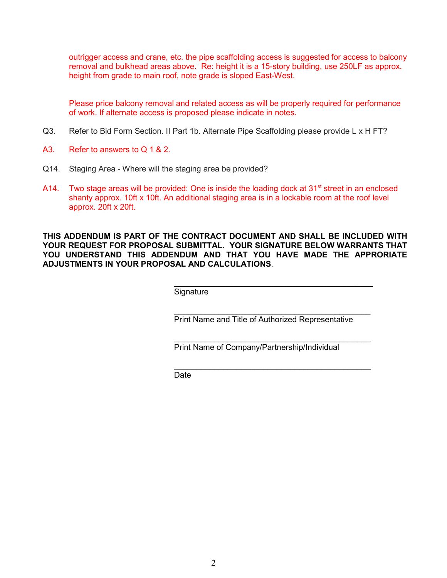outrigger access and crane, etc. the pipe scaffolding access is suggested for access to balcony removal and bulkhead areas above. Re: height it is a 15-story building, use 250LF as approx. height from grade to main roof, note grade is sloped East-West.

Please price balcony removal and related access as will be properly required for performance of work. If alternate access is proposed please indicate in notes.

- Q3. Refer to Bid Form Section. II Part 1b. Alternate Pipe Scaffolding please provide L x H FT?
- A3. Refer to answers to Q 1 & 2.
- Q14. Staging Area Where will the staging area be provided?
- A14. Two stage areas will be provided: One is inside the loading dock at 31 $\mathrm{st}$  street in an enclosed shanty approx. 10ft x 10ft. An additional staging area is in a lockable room at the roof level approx. 20ft x 20ft.

**THIS ADDENDUM IS PART OF THE CONTRACT DOCUMENT AND SHALL BE INCLUDED WITH YOUR REQUEST FOR PROPOSAL SUBMITTAL. YOUR SIGNATURE BELOW WARRANTS THAT YOU UNDERSTAND THIS ADDENDUM AND THAT YOU HAVE MADE THE APPRORIATE ADJUSTMENTS IN YOUR PROPOSAL AND CALCULATIONS**.

> $\mathcal{L}_\text{max}$  and  $\mathcal{L}_\text{max}$  and  $\mathcal{L}_\text{max}$  and  $\mathcal{L}_\text{max}$  and  $\mathcal{L}_\text{max}$ **Signature**

\_\_\_\_\_\_\_\_\_\_\_\_\_\_\_\_\_\_\_\_\_\_\_\_\_\_\_\_\_\_\_\_\_\_\_\_\_\_\_\_\_\_\_\_ Print Name and Title of Authorized Representative

\_\_\_\_\_\_\_\_\_\_\_\_\_\_\_\_\_\_\_\_\_\_\_\_\_\_\_\_\_\_\_\_\_\_\_\_\_\_\_\_\_\_\_\_

 $\overline{\phantom{a}}$  , and the contract of the contract of the contract of the contract of the contract of the contract of the contract of the contract of the contract of the contract of the contract of the contract of the contrac Print Name of Company/Partnership/Individual

de de la contrata de la contrata de la contrata de la contrata de la contrata de la contrata de la contrata de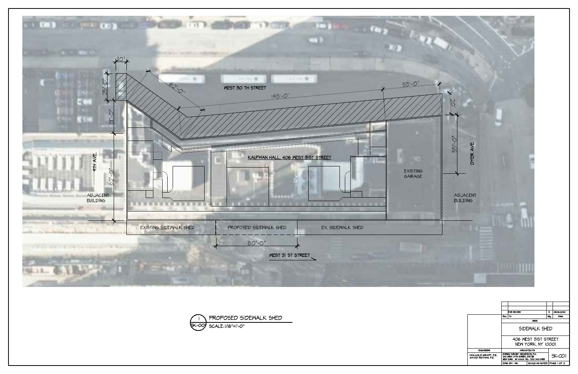